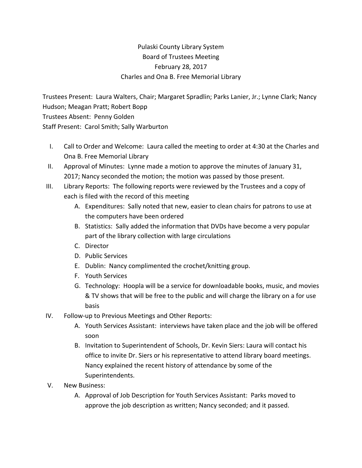## Pulaski County Library System Board of Trustees Meeting February 28, 2017 Charles and Ona B. Free Memorial Library

Trustees Present: Laura Walters, Chair; Margaret Spradlin; Parks Lanier, Jr.; Lynne Clark; Nancy Hudson; Meagan Pratt; Robert Bopp Trustees Absent: Penny Golden Staff Present: Carol Smith; Sally Warburton

- I. Call to Order and Welcome: Laura called the meeting to order at 4:30 at the Charles and Ona B. Free Memorial Library
- II. Approval of Minutes: Lynne made a motion to approve the minutes of January 31, 2017; Nancy seconded the motion; the motion was passed by those present.
- III. Library Reports: The following reports were reviewed by the Trustees and a copy of each is filed with the record of this meeting
	- A. Expenditures: Sally noted that new, easier to clean chairs for patrons to use at the computers have been ordered
	- B. Statistics: Sally added the information that DVDs have become a very popular part of the library collection with large circulations
	- C. Director
	- D. Public Services
	- E. Dublin: Nancy complimented the crochet/knitting group.
	- F. Youth Services
	- G. Technology: Hoopla will be a service for downloadable books, music, and movies & TV shows that will be free to the public and will charge the library on a for use basis
- IV. Follow‐up to Previous Meetings and Other Reports:
	- A. Youth Services Assistant: interviews have taken place and the job will be offered soon
	- B. Invitation to Superintendent of Schools, Dr. Kevin Siers: Laura will contact his office to invite Dr. Siers or his representative to attend library board meetings. Nancy explained the recent history of attendance by some of the Superintendents.
- V. New Business:
	- A. Approval of Job Description for Youth Services Assistant: Parks moved to approve the job description as written; Nancy seconded; and it passed.